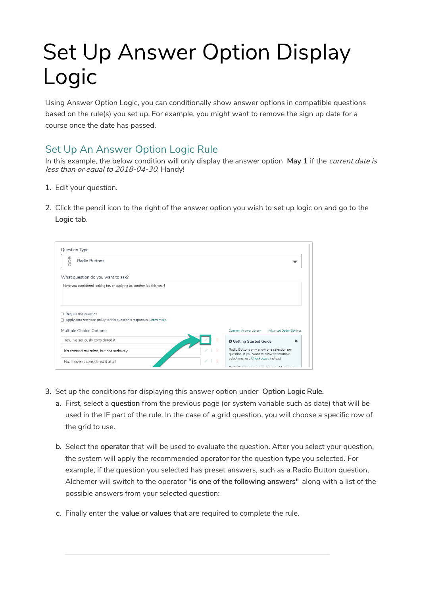# Set Up Answer Option Display Logic

Using Answer Option Logic, you can conditionally show answer options in compatible questions based on the rule(s) you set up. For example, you might want to remove the sign up date for a course once the date has passed.

# Set Up An Answer Option Logic Rule

In this example, the below condition will only display the answer option May 1 if the *current date is* less than or equal to 2018-04-30. Handy!

- 1. Edit your question.
- 2. Click the pencil icon to the right of the answer option you wish to set up logic on and go to the Logic tab.

| Radio Buttons                                                           |                                                                                               |
|-------------------------------------------------------------------------|-----------------------------------------------------------------------------------------------|
|                                                                         |                                                                                               |
| What question do you want to ask?                                       |                                                                                               |
| Have you considered looking for, or applying to, another job this year? |                                                                                               |
|                                                                         |                                                                                               |
|                                                                         |                                                                                               |
|                                                                         |                                                                                               |
| Require this question                                                   |                                                                                               |
| Apply data retention policy to this question's responses. Learn more.   |                                                                                               |
|                                                                         |                                                                                               |
| Multiple Choice Options                                                 | Common Answer Library<br><b>Advanced Option Settings</b>                                      |
| Yes, I've seriously considered it                                       | ×<br><b>O</b> Getting Started Guide                                                           |
| It's crossed my mind, but not seriously                                 | Radio Buttons only allow one selection per                                                    |
| No. I haven't considered it at all                                      | question. If you want to allow for multiple<br>selections, use Checkboxes instead.<br>18<br>而 |

- 3. Set up the conditions for displaying this answer option under Option Logic Rule.
	- a. First, select a question from the previous page (or system variable such as date) that will be used in the IF part of the rule. In the case of a grid question, you will choose a specific row of the grid to use.
	- b. Select the operator that will be used to evaluate the question. After you select your question, the system will apply the recommended operator for the question type you selected. For example, if the question you selected has preset answers, such as a Radio Button question, Alchemer will switch to the operator "is one of the following answers" along with a list of the possible answers from your selected question:
	- c. Finally enter the value or values that are required to complete the rule.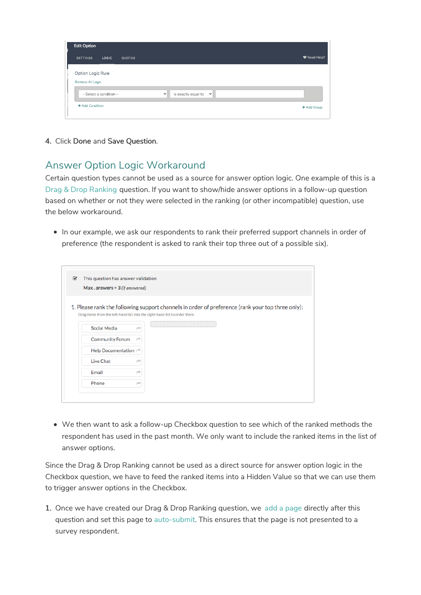| Edit Option                           |                                                        |              |
|---------------------------------------|--------------------------------------------------------|--------------|
| <b>SETTINGS</b><br><b>LOGIC</b>       | QUOTAS                                                 | ♥ Need Help? |
| Option Logic Rule<br>Remove All Logic |                                                        |              |
| --Select a condition--                | is exactly equal to $\  \mathbf{v} \ $<br>$\checkmark$ |              |
| + Add Condition                       |                                                        | + Add Group  |

4. Click Done and Save Question.

## Answer Option Logic Workaround

Certain question types cannot be used as a source for answer option logic. One example of this is a Drag & Drop Ranking question. If you want to show/hide answer options in a follow-up question based on whether or not they were selected in the ranking (or other incompatible) question, use the below workaround.

In our example, we ask our respondents to rank their preferred support channels in order of preference (the respondent is asked to rank their top three out of a possible six).

| ☑ | This question has answer validation                                                              |  |  |
|---|--------------------------------------------------------------------------------------------------|--|--|
|   | $Max \nvert . \nexists x \in 3 \nvert (if answered)$                                             |  |  |
|   |                                                                                                  |  |  |
|   | 1. Please rank the following support channels in order of preference (rank your top three only): |  |  |
|   | Drag items from the left-hand list into the right-hand list to order them.                       |  |  |
|   | Social Media                                                                                     |  |  |
|   | <b>Community Forum</b>                                                                           |  |  |
|   | Help Documentation →                                                                             |  |  |
|   | <b>Live Chat</b>                                                                                 |  |  |
|   | Email                                                                                            |  |  |
|   |                                                                                                  |  |  |

We then want to ask a follow-up Checkbox question to see which of the ranked methods the respondent has used in the past month. We only want to include the ranked items in the list of answer options.

Since the Drag & Drop Ranking cannot be used as a direct source for answer option logic in the Checkbox question, we have to feed the ranked items into a Hidden Value so that we can use them to trigger answer options in the Checkbox.

1. Once we have created our Drag & Drop Ranking question, we add a page directly after this question and set this page to auto-submit. This ensures that the page is not presented to a survey respondent.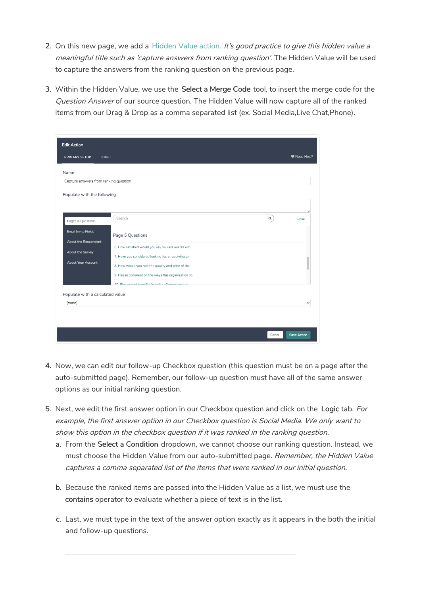- 2. On this new page, we add a Hidden Value action. It's good practice to give this hidden value a meaningful title such as 'capture answers from ranking question'. The Hidden Value will be used to capture the answers from the ranking question on the previous page.
- 3. Within the Hidden Value, we use the Select a Merge Code tool, to insert the merge code for the Question Answer of our source question. The Hidden Value will now capture all of the ranked items from our Drag & Drop as a comma separated list (ex. Social Media,Live Chat,Phone).

| <b>Edit Action</b>                                                                                                                                           |                                                                                                                                                                                                                                                                                                                        |                    |
|--------------------------------------------------------------------------------------------------------------------------------------------------------------|------------------------------------------------------------------------------------------------------------------------------------------------------------------------------------------------------------------------------------------------------------------------------------------------------------------------|--------------------|
| <b>PRIMARY SETUP</b><br>LOGIC                                                                                                                                |                                                                                                                                                                                                                                                                                                                        | ♥ Need Help?       |
| Name<br>Capture answers from ranking question<br>Populate with the following                                                                                 |                                                                                                                                                                                                                                                                                                                        |                    |
| Pages & Questions<br><b>Email Invite Fields</b><br>About the Respondent<br>About the Survey<br><b>About Your Account</b><br>Populate with a calculated value | Search<br>$\mathsf q$<br>Page 5 Questions<br>6. How satisfied would you say you are overall wit<br>7. Have you considered looking for, or applying to<br>8. How would you rate the quality and price of the<br>9. Please comment on the ways this organization co<br>10 Dlasen rank hangfite in order of importance to | Close              |
| [none]                                                                                                                                                       |                                                                                                                                                                                                                                                                                                                        |                    |
|                                                                                                                                                              | Cancel                                                                                                                                                                                                                                                                                                                 | <b>Save Action</b> |

- 4. Now, we can edit our follow-up Checkbox question (this question must be on a page after the auto-submitted page). Remember, our follow-up question must have all of the same answer options as our initial ranking question.
- 5. Next, we edit the first answer option in our Checkbox question and click on the Logic tab. For example, the first answer option in our Checkbox question is Social Media. We only want to show this option in the checkbox question if it was ranked in the ranking question.
	- a. From the Select a Condition dropdown, we cannot choose our ranking question. Instead, we must choose the Hidden Value from our auto-submitted page. Remember, the Hidden Value captures <sup>a</sup> comma separated list of the items that were ranked in our initial question.
	- b. Because the ranked items are passed into the Hidden Value as a list, we must use the contains operator to evaluate whether a piece of text is in the list.
	- c. Last, we must type in the text of the answer option exactly as it appears in the both the initial and follow-up questions.